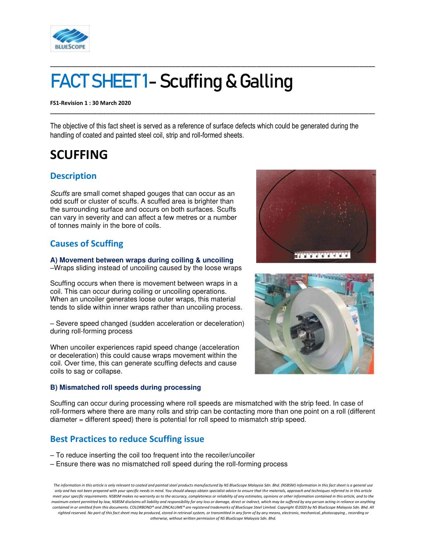

# FACT SHEET1- Scuffing & Galling

**FS1-Revision 1 : 30 March 2020** 

The objective of this fact sheet is served as a reference of surface defects which could be generated during the handling of coated and painted steel coil, strip and roll-formed sheets.

**\_\_\_\_\_\_\_\_\_\_\_\_\_\_\_\_\_\_\_\_\_\_\_\_\_\_\_\_\_\_\_\_\_\_\_\_\_\_\_\_\_\_\_\_\_\_\_\_\_\_\_\_\_\_\_\_\_\_\_\_\_\_\_\_\_\_\_\_\_\_\_\_\_\_\_\_\_\_\_\_\_\_\_\_\_\_\_\_\_\_\_\_\_\_\_\_\_\_\_\_\_\_\_\_** 

**\_\_\_\_\_\_\_\_\_\_\_\_\_\_\_\_\_\_\_\_\_\_\_\_\_\_\_\_\_\_\_\_\_\_\_\_\_\_\_\_\_\_\_\_\_\_\_\_\_\_\_\_\_\_\_\_\_\_\_\_\_\_\_\_\_\_\_\_\_\_\_\_\_\_\_\_\_\_\_\_\_\_\_\_\_\_\_\_\_\_\_\_\_\_\_\_\_\_\_\_\_\_\_\_** 

# **SCUFFING**

## **Description**

*Scuffs* are small comet shaped gouges that can occur as an odd scuff or cluster of scuffs. A scuffed area is brighter than the surrounding surface and occurs on both surfaces. Scuffs can vary in severity and can affect a few metres or a number of tonnes mainly in the bore of coils.

# **Causes of Scuffing**

**A) Movement between wraps during coiling & uncoiling**  –Wraps sliding instead of uncoiling caused by the loose wraps

Scuffing occurs when there is movement between wraps in a coil. This can occur during coiling or uncoiling operations. When an uncoiler generates loose outer wraps, this material tends to slide within inner wraps rather than uncoiling process.

– Severe speed changed (sudden acceleration or deceleration) during roll-forming process

When uncoiler experiences rapid speed change (acceleration or deceleration) this could cause wraps movement within the coil. Over time, this can generate scuffing defects and cause coils to sag or collapse.

#### **B) Mismatched roll speeds during processing**





Scuffing can occur during processing where roll speeds are mismatched with the strip feed. In case of roll-formers where there are many rolls and strip can be contacting more than one point on a roll (different diameter = different speed) there is potential for roll speed to mismatch strip speed.

### **Best Practices to reduce Scuffing issue**

- To reduce inserting the coil too frequent into the recoiler/uncoiler
- Ensure there was no mismatched roll speed during the roll-forming process

*The information in this article is only relevant to coated and painted steel products manufactured by NS BlueScope Malaysia Sdn. Bhd. (NSBSM) Information in this fact sheet is a general use only and has not been prepared with your specific needs in mind. You should always obtain specialist advice to ensure that the materials, approach and techniques referred to in this article meet your specific requirements. NSBSM makes no warranty as to the accuracy, completeness or reliability of any estimates, opinions or other information contained in this article, and to the maximum extent permitted by law, NSBSM disclaims all liability and responsibility for any loss or damage, direct or indirect, which may be suffered by any person acting in reliance on anything contained in or omitted from this documents. COLORBOND® and ZINCALUME® are registered trademarks of BlueScope Steel Limited. Copyright ©2020 by NS BlueScope Malaysia Sdn. Bhd. All*  righted reserved. No part of this fact sheet may be produced, stored in retrieval system, or transmitted in any form of by any means, electronic, mechanical, photocopying , recording or *otherwise, without written permission of NS BlueScope Malaysia Sdn. Bhd.*